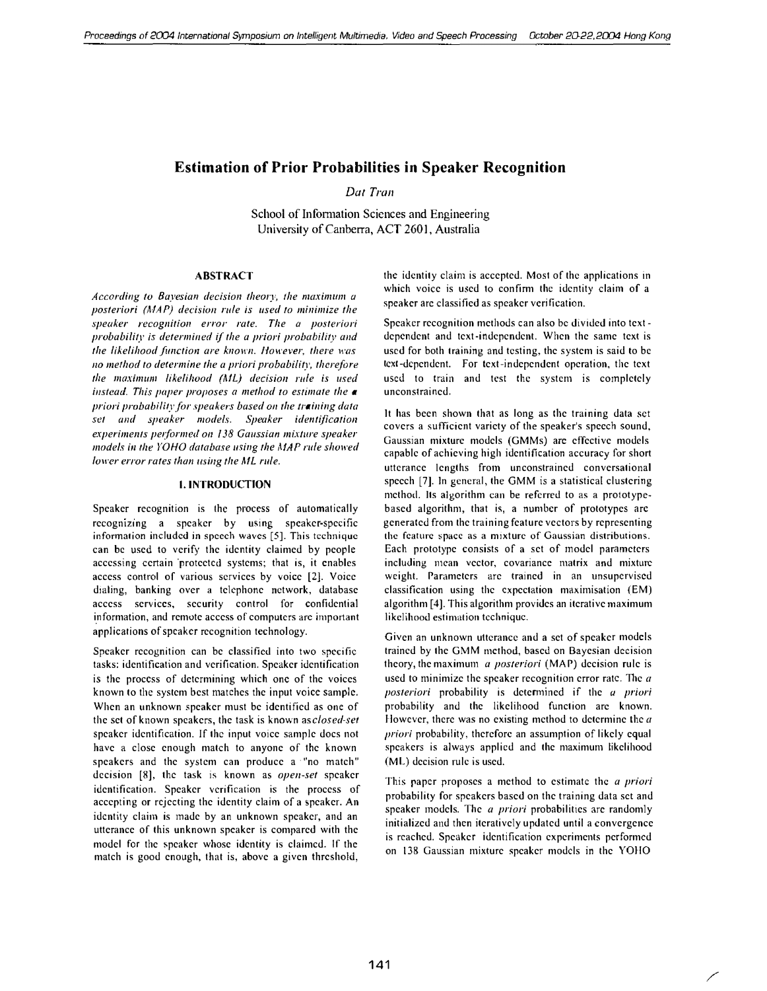# Estimation of Prior Probabilities in Speaker Recognition

Dat Tran

School of Information Sciences and Engineering University of Canberra, ACT 2601, Australia

# ABSTRACT

According to Bayesian decision theory, the maximum a posteriori ( $MAP$ ) decision rule is used to minimize the speaker recognition error rate. The a posteriori probability is determined if the a priori probability and the likelihood function are known. However, there was 110 method to determine the a priori probability, therefore the maximum likelihood (ML) decision rule is used instead. This paper proposes a method to estimate the  $\boldsymbol{\alpha}$ priori probability for speakers based on the training data set and speaker models. Speaker identification experiments performed on 138 Gaussian mixture speaker models in the YOHO database using the MAP rule showed lower error rates than using the ML rule.

# I. INTRODUCTION

Speaker recognition is the process of automatically recognizing a speaker by using speaker-specific information included in speech waves [5]. This technique can be used to verify the identity claimed by people accessing certain 'proteeted systems; that is, it enables access control of various services by voice [2]. Voice dialing, banking over a telephone network, database access services, security control for confidential information, and remote access of computers are important applications of speaker recognition technology.

Speaker recognition can be classified into two specific tasks: identification and verification, Speaker identification is the process of determining which one of the voices known to the system best matches the input voice sample. When an unknown speaker must be identified as one of the set of known speakers, the task is known as *closed-set* speaker identification. If the input voice sample docs not have a close enough match to anyone of the known speakers and the system can produce a' "no match" decision [8], the task is known as open-set speaker identification. Speaker verification is the process of accepting or rejecting the identity claim of a speaker. An identity claim is made by an unknown speaker, and an utterance of this unknown spcaker is compared with the model for the speaker whose identity is claimcd. If the match is good enough, that is, above a given threshold,

the identity claim is accepted, Most of the applications in which voice is used to confirm the identity claim of a speaker arc classified as speaker veri fieation.

Speaker recognition methods can also be divided into textdependent and text-indcpendent. When the same text is used for both training and testing, the system is said to be text-dependent. For text -independent operation, the text used to train and test the system is completely unconstrained.

It has been shown that as long as the training data set covers a sufficient variety of the speaker's speech sound, Gaussian mixture models (GMMs) arc effective models capable of achieving high identification accuracy for short utterance lengths from unconstrained conversational speech [7]. In general, the GMM is a statistical clustering method. Its algorithm can be referred to as a prototypebased algorithm, that is, a number of prototypes arc generated from the training feature vectors by representing the feature space as a mixture of Gaussian distributions. Each prototype consists of a set of model parameters including mean vector, covariance matrix and mixture weight. Parameters arc trained in an unsupervised classification using the expectation maximisation (EM) algorithm [4]. This algorithm provides an iterative maximum likelihood estimation technique.

Given an unknown utterance and a set of speaker models trained by the GMM method, based on Bayesian decision theory, the maximum *a posteriori* (MAP) decision rule is used to minimize the speaker recognition error rate. The  $a$ posteriori probability is determined if the a priori probability and the likelihood function arc known. However, there was no existing method to determine the  $a$ priori probability, thereforc an assumption of likely equal speakers is always applied and the maximum likelihood (ML) decision rule is used.

This paper proposes a method to estimate the *a priori* probability for speakers based on the training data sct and speaker models. The a priori probabilities are randomly initialized and thcn iteratively updated until a convergence is reached, Speaker identification experiments performcd on 138 Gaussian mixture speaker models in the YOHO

/'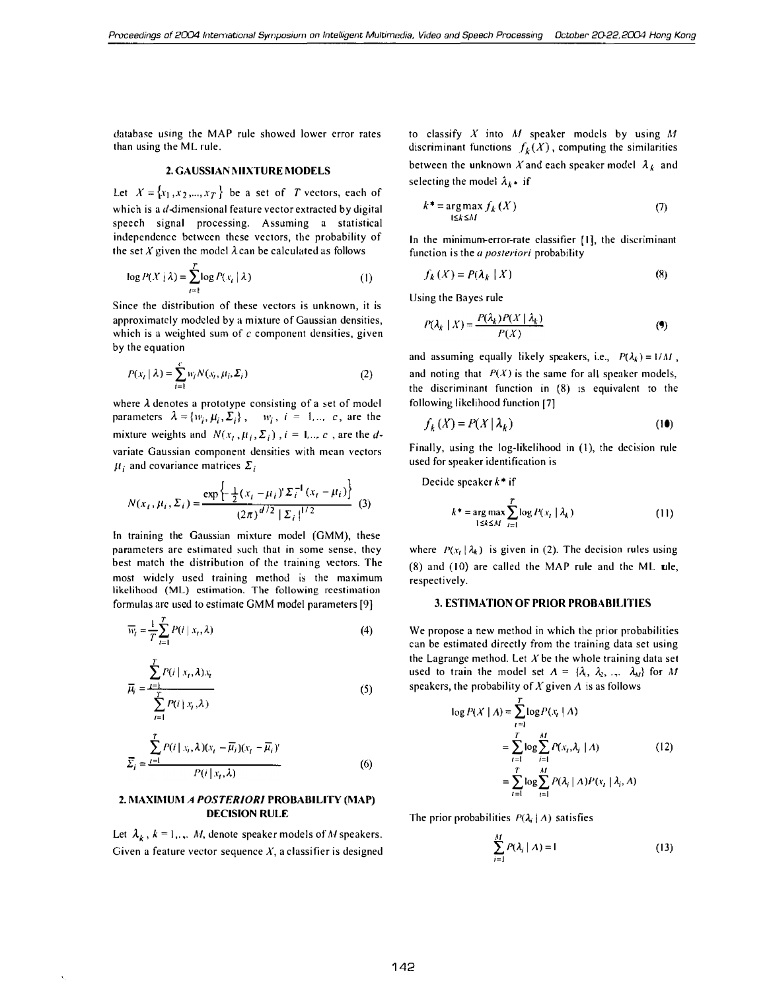database using the MAP rule showed lower error rates than using the ML rule.

#### 2. GAUSSIAN MIXTURE MODELS

Let  $X = \{x_1, x_2, ..., x_T\}$  be a set of T vectors, each of which is a  $d$ -dimensional feature vector extracted by digital speech signal processing. Assuming a statistical independence between these vectors, the probability of the set X given the model  $\lambda$  can be calculated as follows

$$
\log P(X | \lambda) = \sum_{t=1}^{T} \log P(x_t | \lambda)
$$
 (1)

Since the distribution of these vectors is unknown, it is approximatcly modeled by a mixture of Gaussian densities, which is a weighted sum of  $c$  component densities, given by the equation

$$
P(x_i | \lambda) = \sum_{i=1}^{c} w_i N(x_i, \mu_i, \Sigma_i)
$$
 (2)

where  $\lambda$  denotes a prototype consisting of a set of model parameters  $\lambda = \{w_i, \mu_i, \Sigma_i\}$ ,  $w_i$ ,  $i = 1, ..., c$ , are the mixture weights and  $N(x_t, \mu_i, \Sigma_i)$ ,  $i = 1, ..., c$ , are the dvariate Gaussian component densities with mean vectors  $\mu_i$  and covariance matrices  $\Sigma_i$ 

$$
N(x_t, \mu_i, \Sigma_i) = \frac{\exp\left\{-\frac{1}{2}(x_t - \mu_i)^t \Sigma_i^{-1}(x_t - \mu_i)\right\}}{(2\pi)^{d/2} |\Sigma_i|^{1/2}} \tag{3}
$$

In training the Gaussian mixture model (GMM), these parameters are estimated such that in some sense, they best match the distribution of the training vectors. The most widely used training method is the maximum likelihood (ML) estimation. The following reestimation formulas arc used to estimate GMM model parameters [9]

$$
\overline{w}_i = \frac{1}{T} \sum_{i=1}^{T} P(i \mid x_i, \lambda)
$$
\n(4)

$$
\overline{\mu}_i = \frac{\sum\limits_{i=1}^T P(i \mid x_i, \lambda) x_i}{\sum\limits_{i=1}^T P(i \mid x_i, \lambda)}
$$
(5)

$$
\overline{\Sigma}_{i} = \frac{\sum_{t=1}^{T} P(i \mid x_{i}, \lambda)(x_{t} - \overline{\mu}_{i})(x_{t} - \overline{\mu}_{i})'}{P(i \mid x_{t}, \lambda)}
$$
(6)

### 2. MAXIMUM A POSTERIORI PROBABILITY (MAP) DECISION RULE

Let  $\lambda_k$ ,  $k = 1, \dots, M$ , denote speaker models of M speakers. Given a feature vector sequence  $X$ , a classifier is designed to classify  $X$  into  $M$  speaker models by using  $M$ discriminant functions  $f_k(X)$ , computing the similarities between the unknown X and each speaker model  $\lambda_k$  and selecting the model  $\lambda_k$  if

$$
k^* = \underset{1 \le k \le M}{\arg \max} f_k(X) \tag{7}
$$

In the minimum-error-rate classifier [I], the discriminant function is the a posteriori probability

$$
f_k(X) = P(\lambda_k \mid X) \tag{8}
$$

Using the Bayes rule

$$
P(\lambda_k \mid X) = \frac{P(\lambda_k)P(X \mid \lambda_k)}{P(X)}\tag{9}
$$

and assuming equally likely speakers, i.e.,  $P(\lambda_k) = 1/M$ , and noting that  $P(X)$  is the same for all speaker models, the discriminant function in (8) IS equivalent to the following likelihood function [7]

$$
f_k(X) = P(X | \lambda_k)
$$
 (10)

Finally, using the log-likelihood in (I), the decision rule used for speaker identification is

Decide speaker  $k^*$  if

$$
k^* = \underset{1 \le k \le M}{\arg \max} \sum_{i=1}^{T} \log P(x_i \mid \lambda_k)
$$
 (11)

where  $P(x_t | \lambda_k)$  is given in (2). The decision rules using (8) and (10) are called the MAP rule and the ML ule, respectively.

# 3. ESTIMATION OF PRIOR PROBABILITIES

We propose a new method in which the prior probabilities can be estimated directly from the training data set using the Lagrange method. Let  $X$  be the whole training data set used to train the model set  $A = \{\lambda_1, \lambda_2, \ldots, \lambda_M\}$  for M speakers, the probability of X given  $\Lambda$  is as follows

$$
\log P(X \mid A) = \sum_{i=1}^{T} \log P(x_i \mid A)
$$
  
= 
$$
\sum_{i=1}^{T} \log \sum_{i=1}^{M} P(x_i, \lambda_i \mid A)
$$
 (12)  
= 
$$
\sum_{i=1}^{T} \log \sum_{i=1}^{M} P(\lambda_i \mid A) P(x_i \mid \lambda_i, A)
$$

The prior probabilities  $P(\lambda_i | \Lambda)$  satisfies

$$
\sum_{i=1}^{M} P(\lambda_i | \Lambda) = 1 \tag{13}
$$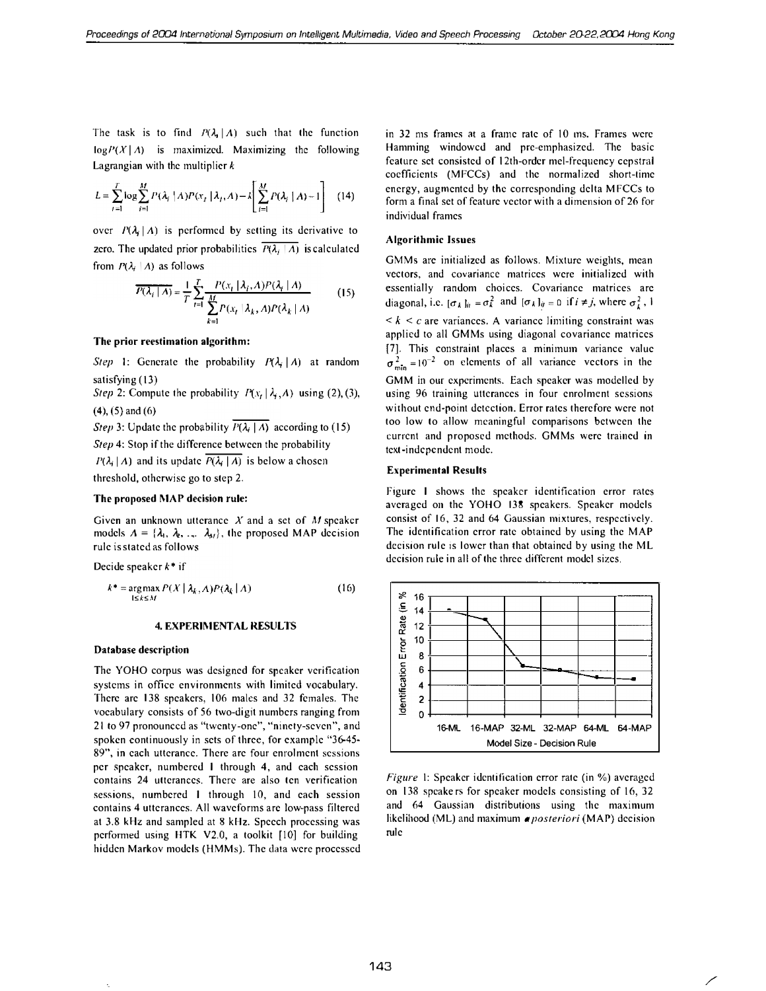The task is to find  $P(\lambda_i | A)$  such that the function  $log P(X | A)$  is maximized. Maximizing the following Lagrangian with the multiplier  $k$ 

$$
L = \sum_{t=1}^{T} \log \sum_{i=1}^{M} P(\lambda_i \mid A) P(x_t \mid \lambda_i, A) - \lambda \left[ \sum_{i=1}^{M} P(\lambda_i \mid A) - 1 \right] \tag{14}
$$

over  $P(\lambda_i|A)$  is performed by setting its derivative to zero. The updated prior probabilities  $\overline{P(\lambda_i \mid \Lambda)}$  is calculated from  $P(\lambda_i | \Lambda)$  as follows

$$
\overline{P(\lambda_i \mid A)} = \frac{1}{T} \sum_{t=1}^{T} \frac{P(x_t \mid \lambda_i, A) P(\lambda_i \mid A)}{\sum_{k=1}^{M} P(x_t \mid \lambda_k, A) P(\lambda_k \mid A)} \tag{15}
$$

### The prior reestimation algorithm:

Step 1: Generate the probability  $P(\lambda_i | \Lambda)$  at random satisfying (13)

Step 2: Compute the probability  $P(x_t | \lambda_i, A)$  using (2), (3), (4), (5) and (6)

*Step* 3: Update the probability  $\overline{P(\lambda_i | A)}$  according to (15) Step 4: Stop if the difference between the probability  $P(\lambda_i | A)$  and its update  $\overline{P(\lambda_i | A)}$  is below a chosen threshold, otherwise go to step 2,

#### The proposed MAP decision rule:

Given an unknown utterance  $X$  and a set of M speaker models  $A = \{\lambda_1, \lambda_2, \ldots, \lambda_M\}$ , the proposed MAP decision rulc is stated as follows

Decide speaker  $k^*$  if

$$
k^* = \underset{1 \le k \le M}{\arg \max} P(X \mid \lambda_k, A) P(\lambda_k \mid A) \tag{16}
$$

#### 4. EXPERIMENTAL RESULTS

### Database description

The YOHO corpus was designed for spcaker verification systems in office environments with Iimitcd vocabulary, There are 138 speakers, 106 males and 32 females, The vocabulary consists of 56 two-digit numbers ranging from 21 to 97 pronounced as "twenty-one", "ninety-seven", and spoken continuously in sets of three, for example "3�45- 89", in each utterance, There arc four enrolment sessions per speaker, numbered I through 4, and each scssion contains 24 utterances. There are also ten verification sessions, numbered I through 10, and each session contains 4 utterances. All waveforms arc low-pass filtered at 3,8 kHz and sampled at 8 kHz. Speech processing was performed using HTK V2.0, a toolkit  $[10]$  for building hiddcn Markov models (HMMs). The data were processed in 32 ms frames at a frame rate of \0 ms. Frames wcre Hamming windowcd and prc-emphasized. The basic feature set consisted of 12th-ordcr mel-frequency cepstral coefficients (MFCCs) and the normalized short-lime energy, augmented by the corresponding delta MFCCs to form a final set of feature vector with a dimension of 26 for individual frames

### Algorithmic Issues

GMMs arc initialized as follows. Mixture weights, mean vectors, and covariance matrices were initialized with essentially random choices. Covariance matrices arc diagonal, i.e.  $[\sigma_k]_{ii} = \sigma_k^2$  and  $[\sigma_k]_{ij} = 0$  if  $i \neq j$ , where  $\sigma_k^2$ , I  $\leq k \leq c$  are variances. A variance limiting constraint was applied to all GMMs using diagonal covariance matrices [7]. This constraint places a minimum variance value  $\sigma_{\min}^2 = 10^{-2}$  on elements of all variance vectors in the GMM in our experiments. Each speaker was modelled by using 96 training utterances in four enrolment sessions without end-point detection. Error rates therefore were not too low to allow meaningful comparisons between the current and proposed methods. GMMs were trained in text-independent mode.

#### Experimental Results

Figure I shows the spcaker identification error rates averaged on the YOHO 138 speakers, Speaker models consist of 16, 32 and 64 Gaussian mixtures, respectively. The identification error rate obtained by using the MAP decision rule is lower than that obtained by using the ML decision rule in all of the three different model sizes.



Figure I: Speaker identification error rate (in %) averaged on 138 speake rs for speaker models consisting of 16, 32 and 64 Gaussian distributions using the maximum likelihood (ML) and maximum *a posteriori* (MAP) decision rule

/'